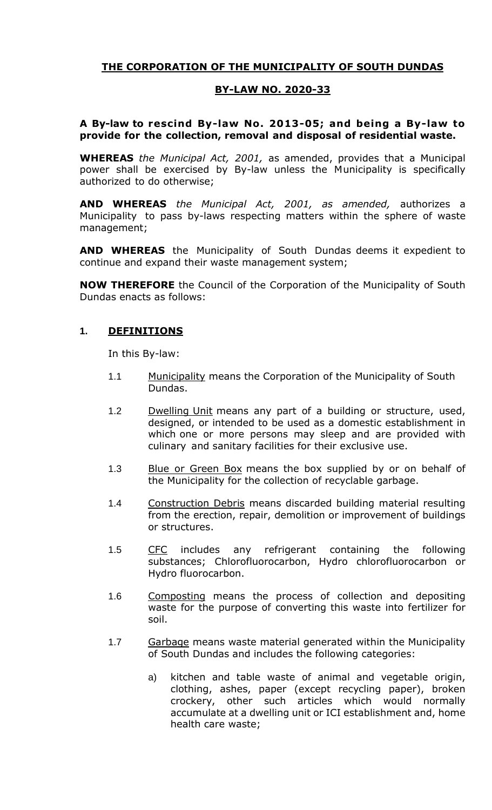# **THE CORPORATION OF THE MUNICIPALITY OF SOUTH DUNDAS**

### **BY-LAW NO. 2020-33**

### **A By-law to rescind By-law No. 2013-05; and being a By-law to provide for the collection, removal and disposal of residential waste.**

**WHEREAS** *the Municipal Act, 2001,* as amended, provides that a Municipal power shall be exercised by By-law unless the Municipality is specifically authorized to do otherwise;

**AND WHEREAS** *the Municipal Act, 2001, as amended,* authorizes a Municipality to pass by-laws respecting matters within the sphere of waste management;

**AND WHEREAS** the Municipality of South Dundas deems it expedient to continue and expand their waste management system;

**NOW THEREFORE** the Council of the Corporation of the Municipality of South Dundas enacts as follows:

#### **1. DEFINITIONS**

In this By-law:

- 1.1 Municipality means the Corporation of the Municipality of South Dundas.
- 1.2 Dwelling Unit means any part of a building or structure, used, designed, or intended to be used as a domestic establishment in which one or more persons may sleep and are provided with culinary and sanitary facilities for their exclusive use.
- 1.3 Blue or Green Box means the box supplied by or on behalf of the Municipality for the collection of recyclable garbage.
- 1.4 Construction Debris means discarded building material resulting from the erection, repair, demolition or improvement of buildings or structures.
- 1.5 CFC includes any refrigerant containing the following substances; Chlorofluorocarbon, Hydro chlorofluorocarbon or Hydro fluorocarbon.
- 1.6 Composting means the process of collection and depositing waste for the purpose of converting this waste into fertilizer for soil.
- 1.7 Garbage means waste material generated within the Municipality of South Dundas and includes the following categories:
	- a) kitchen and table waste of animal and vegetable origin, clothing, ashes, paper (except recycling paper), broken crockery, other such articles which would normally accumulate at a dwelling unit or ICI establishment and, home health care waste;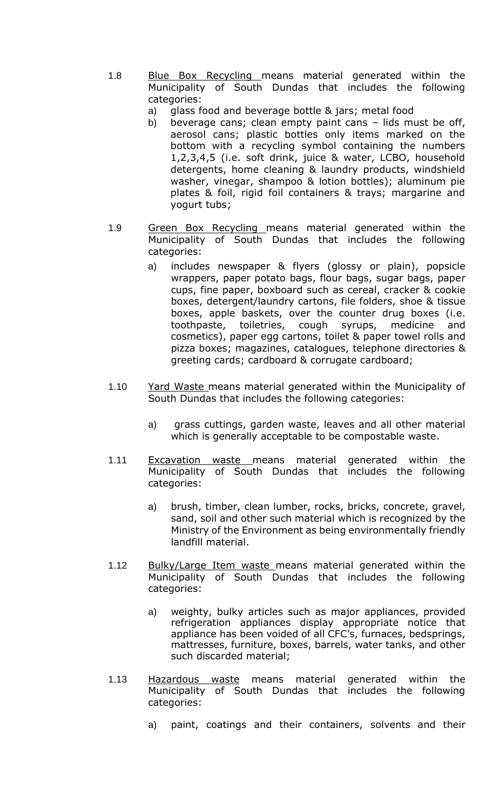- 1.8 Blue Box Recycling means material generated within the Municipality of South Dundas that includes the following categories:
	- a) glass food and beverage bottle & jars; metal food
	- b) beverage cans; clean empty paint cans lids must be off, aerosol cans; plastic bottles only items marked on the bottom with a recycling symbol containing the numbers 1,2,3,4,5 (i.e. soft drink, juice & water, LCBO, household detergents, home cleaning & laundry products, windshield washer, vinegar, shampoo & lotion bottles); aluminum pie plates & foil, rigid foil containers & trays; margarine and yogurt tubs;
- 1.9 Green Box Recycling means material generated within the Municipality of South Dundas that includes the following categories:
	- a) includes newspaper & flyers (glossy or plain), popsicle wrappers, paper potato bags, flour bags, sugar bags, paper cups, fine paper, boxboard such as cereal, cracker & cookie boxes, detergent/laundry cartons, file folders, shoe & tissue boxes, apple baskets, over the counter drug boxes (i.e. toothpaste, toiletries, cough syrups, medicine and cosmetics), paper egg cartons, toilet & paper towel rolls and pizza boxes; magazines, catalogues, telephone directories & greeting cards; cardboard & corrugate cardboard;
- 1.10 Yard Waste means material generated within the Municipality of South Dundas that includes the following categories:
	- a) grass cuttings, garden waste, leaves and all other material which is generally acceptable to be compostable waste.
- 1.11 Excavation waste means material generated within the Municipality of South Dundas that includes the following categories:
	- a) brush, timber, clean lumber, rocks, bricks, concrete, gravel, sand, soil and other such material which is recognized by the Ministry of the Environment as being environmentally friendly landfill material.
- 1.12 Bulky/Large Item waste means material generated within the Municipality of South Dundas that includes the following categories:
	- a) weighty, bulky articles such as major appliances, provided refrigeration appliances display appropriate notice that appliance has been voided of all CFC's, furnaces, bedsprings, mattresses, furniture, boxes, barrels, water tanks, and other such discarded material;
- 1.13 Hazardous waste means material generated within the Municipality of South Dundas that includes the following categories:
	- a) paint, coatings and their containers, solvents and their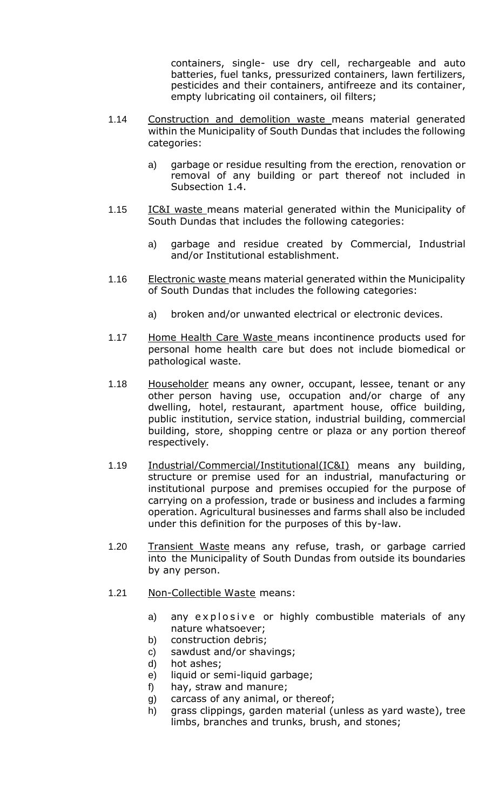containers, single- use dry cell, rechargeable and auto batteries, fuel tanks, pressurized containers, lawn fertilizers, pesticides and their containers, antifreeze and its container, empty lubricating oil containers, oil filters;

- 1.14 Construction and demolition waste means material generated within the Municipality of South Dundas that includes the following categories:
	- a) garbage or residue resulting from the erection, renovation or removal of any building or part thereof not included in Subsection 1.4.
- 1.15 IC&I waste means material generated within the Municipality of South Dundas that includes the following categories:
	- a) garbage and residue created by Commercial, Industrial and/or Institutional establishment.
- 1.16 Electronic waste means material generated within the Municipality of South Dundas that includes the following categories:
	- a) broken and/or unwanted electrical or electronic devices.
- 1.17 Home Health Care Waste means incontinence products used for personal home health care but does not include biomedical or pathological waste.
- 1.18 Householder means any owner, occupant, lessee, tenant or any other person having use, occupation and/or charge of any dwelling, hotel, restaurant, apartment house, office building, public institution, service station, industrial building, commercial building, store, shopping centre or plaza or any portion thereof respectively.
- 1.19 Industrial/Commercial/Institutional(IC&I) means any building, structure or premise used for an industrial, manufacturing or institutional purpose and premises occupied for the purpose of carrying on a profession, trade or business and includes a farming operation. Agricultural businesses and farms shall also be included under this definition for the purposes of this by-law.
- 1.20 Transient Waste means any refuse, trash, or garbage carried into the Municipality of South Dundas from outside its boundaries by any person.
- 1.21 Non-Collectible Waste means:
	- a) any explosive or highly combustible materials of any nature whatsoever;
	- b) construction debris;
	- c) sawdust and/or shavings;
	- d) hot ashes;
	- e) liquid or semi-liquid garbage;
	- f) hay, straw and manure;
	- g) carcass of any animal, or thereof;
	- h) grass clippings, garden material (unless as yard waste), tree limbs, branches and trunks, brush, and stones;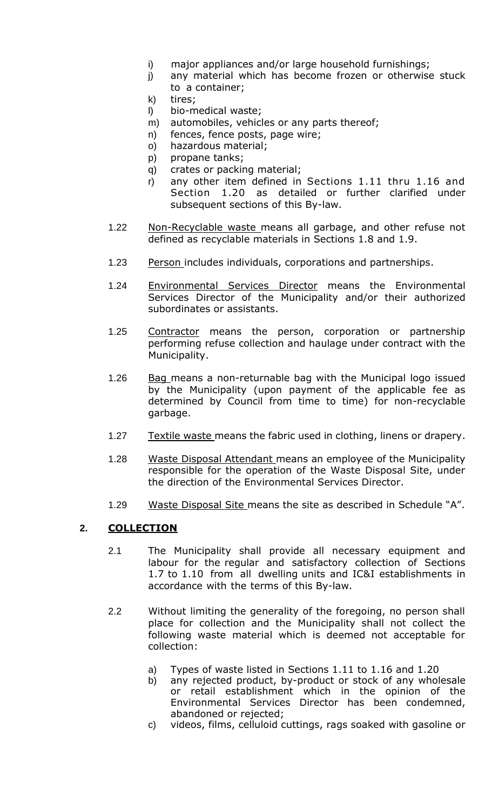- i) major appliances and/or large household furnishings;
- j) any material which has become frozen or otherwise stuck to a container;
- k) tires;
- l) bio-medical waste;
- m) automobiles, vehicles or any parts thereof;
- n) fences, fence posts, page wire;
- o) hazardous material;
- p) propane tanks;
- q) crates or packing material;
- r) any other item defined in Sections 1.11 thru 1.16 and Section 1.20 as detailed or further clarified under subsequent sections of this By-law.
- 1.22 Mon-Recyclable waste means all garbage, and other refuse not defined as recyclable materials in Sections 1.8 and 1.9.
- 1.23 Person includes individuals, corporations and partnerships.
- 1.24 Environmental Services Director means the Environmental Services Director of the Municipality and/or their authorized subordinates or assistants.
- 1.25 Contractor means the person, corporation or partnership performing refuse collection and haulage under contract with the Municipality.
- 1.26 Bag means a non-returnable bag with the Municipal logo issued by the Municipality (upon payment of the applicable fee as determined by Council from time to time) for non-recyclable garbage.
- 1.27 Textile waste means the fabric used in clothing, linens or drapery.
- 1.28 Waste Disposal Attendant means an employee of the Municipality responsible for the operation of the Waste Disposal Site, under the direction of the Environmental Services Director.
- 1.29 Waste Disposal Site means the site as described in Schedule "A".

# **2. COLLECTION**

- 2.1 The Municipality shall provide all necessary equipment and labour for the regular and satisfactory collection of Sections 1.7 to 1.10 from all dwelling units and IC&I establishments in accordance with the terms of this By-law.
- 2.2 Without limiting the generality of the foregoing, no person shall place for collection and the Municipality shall not collect the following waste material which is deemed not acceptable for collection:
	- a) Types of waste listed in Sections 1.11 to 1.16 and 1.20
	- b) any rejected product, by-product or stock of any wholesale or retail establishment which in the opinion of the Environmental Services Director has been condemned, abandoned or rejected;
	- c) videos, films, celluloid cuttings, rags soaked with gasoline or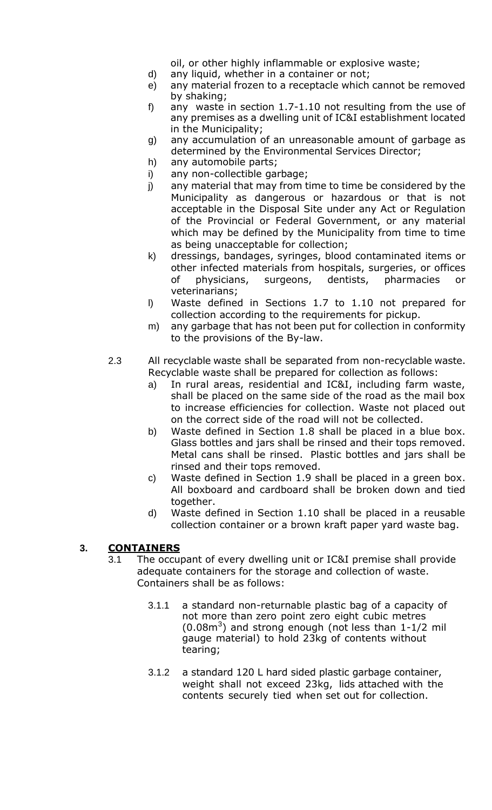oil, or other highly inflammable or explosive waste;

- d) any liquid, whether in a container or not;
- e) any material frozen to a receptacle which cannot be removed by shaking;
- f) any waste in section 1.7-1.10 not resulting from the use of any premises as a dwelling unit of IC&I establishment located in the Municipality;
- g) any accumulation of an unreasonable amount of garbage as determined by the Environmental Services Director;
- h) any automobile parts;
- i) any non-collectible garbage;
- j) any material that may from time to time be considered by the Municipality as dangerous or hazardous or that is not acceptable in the Disposal Site under any Act or Regulation of the Provincial or Federal Government, or any material which may be defined by the Municipality from time to time as being unacceptable for collection;
- k) dressings, bandages, syringes, blood contaminated items or other infected materials from hospitals, surgeries, or offices of physicians, surgeons, dentists, pharmacies or veterinarians;
- l) Waste defined in Sections 1.7 to 1.10 not prepared for collection according to the requirements for pickup.
- m) any garbage that has not been put for collection in conformity to the provisions of the By-law.
- 2.3 All recyclable waste shall be separated from non-recyclable waste. Recyclable waste shall be prepared for collection as follows:
	- a) In rural areas, residential and IC&I, including farm waste, shall be placed on the same side of the road as the mail box to increase efficiencies for collection. Waste not placed out on the correct side of the road will not be collected.
	- b) Waste defined in Section 1.8 shall be placed in a blue box. Glass bottles and jars shall be rinsed and their tops removed. Metal cans shall be rinsed. Plastic bottles and jars shall be rinsed and their tops removed.
	- c) Waste defined in Section 1.9 shall be placed in a green box. All boxboard and cardboard shall be broken down and tied together.
	- d) Waste defined in Section 1.10 shall be placed in a reusable collection container or a brown kraft paper yard waste bag.

#### **3. CONTAINERS**

- 3.1 The occupant of every dwelling unit or IC&I premise shall provide adequate containers for the storage and collection of waste. Containers shall be as follows:
	- 3.1.1 a standard non-returnable plastic bag of a capacity of not more than zero point zero eight cubic metres  $(0.08m<sup>3</sup>)$  and strong enough (not less than 1-1/2 mil gauge material) to hold 23kg of contents without tearing;
	- 3.1.2 a standard 120 L hard sided plastic garbage container, weight shall not exceed 23kg, lids attached with the contents securely tied when set out for collection.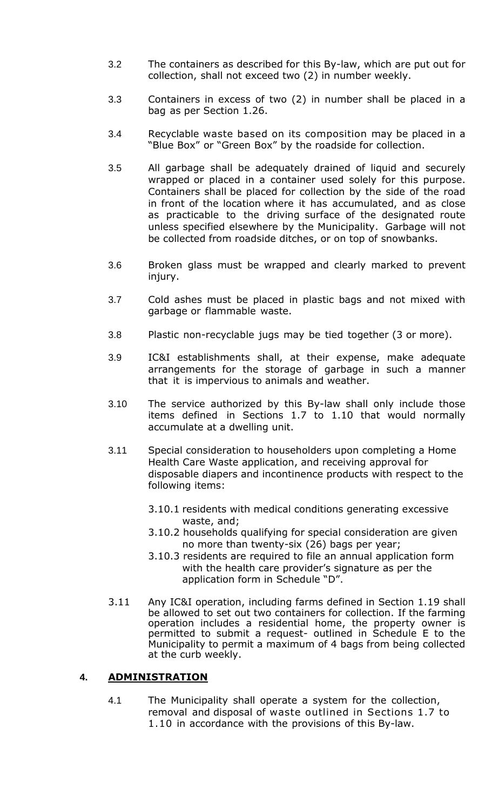- 3.2 The containers as described for this By-law, which are put out for collection, shall not exceed two (2) in number weekly.
- 3.3 Containers in excess of two (2) in number shall be placed in a bag as per Section 1.26.
- 3.4 Recyclable waste based on its composition may be placed in a "Blue Box" or "Green Box" by the roadside for collection.
- 3.5 All garbage shall be adequately drained of liquid and securely wrapped or placed in a container used solely for this purpose. Containers shall be placed for collection by the side of the road in front of the location where it has accumulated, and as close as practicable to the driving surface of the designated route unless specified elsewhere by the Municipality. Garbage will not be collected from roadside ditches, or on top of snowbanks.
- 3.6 Broken glass must be wrapped and clearly marked to prevent injury.
- 3.7 Cold ashes must be placed in plastic bags and not mixed with garbage or flammable waste.
- 3.8 Plastic non-recyclable jugs may be tied together (3 or more).
- 3.9 IC&I establishments shall, at their expense, make adequate arrangements for the storage of garbage in such a manner that it is impervious to animals and weather.
- 3.10 The service authorized by this By-law shall only include those items defined in Sections 1.7 to 1.10 that would normally accumulate at a dwelling unit.
- 3.11 Special consideration to householders upon completing a Home Health Care Waste application, and receiving approval for disposable diapers and incontinence products with respect to the following items:
	- 3.10.1 residents with medical conditions generating excessive waste, and;
	- 3.10.2 households qualifying for special consideration are given no more than twenty-six (26) bags per year;
	- 3.10.3 residents are required to file an annual application form with the health care provider's signature as per the application form in Schedule "D".
- 3.11 Any IC&I operation, including farms defined in Section 1.19 shall be allowed to set out two containers for collection. If the farming operation includes a residential home, the property owner is permitted to submit a request- outlined in Schedule E to the Municipality to permit a maximum of 4 bags from being collected at the curb weekly.

# **4. ADMINISTRATION**

4.1 The Municipality shall operate a system for the collection, removal and disposal of waste outlined in Sections 1.7 to 1.10 in accordance with the provisions of this By-law.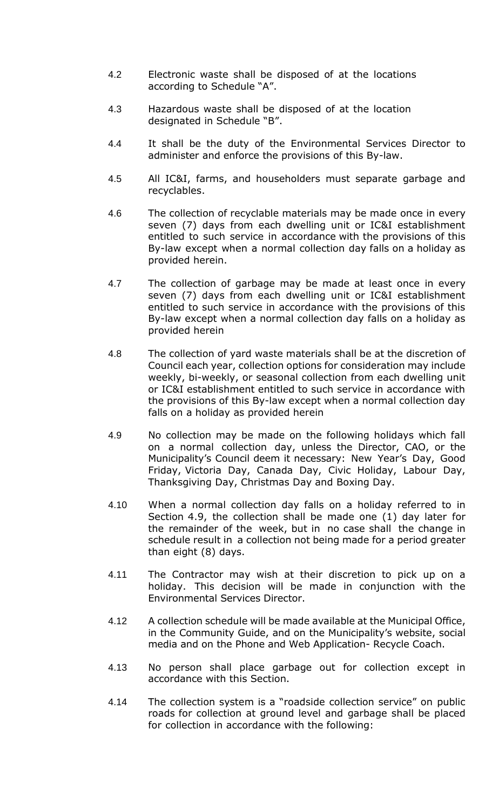- 4.2 Electronic waste shall be disposed of at the locations according to Schedule "A".
- 4.3 Hazardous waste shall be disposed of at the location designated in Schedule "B".
- 4.4 It shall be the duty of the Environmental Services Director to administer and enforce the provisions of this By-law.
- 4.5 All IC&I, farms, and householders must separate garbage and recyclables.
- 4.6 The collection of recyclable materials may be made once in every seven (7) days from each dwelling unit or IC&I establishment entitled to such service in accordance with the provisions of this By-law except when a normal collection day falls on a holiday as provided herein.
- 4.7 The collection of garbage may be made at least once in every seven (7) days from each dwelling unit or IC&I establishment entitled to such service in accordance with the provisions of this By-law except when a normal collection day falls on a holiday as provided herein
- 4.8 The collection of yard waste materials shall be at the discretion of Council each year, collection options for consideration may include weekly, bi-weekly, or seasonal collection from each dwelling unit or IC&I establishment entitled to such service in accordance with the provisions of this By-law except when a normal collection day falls on a holiday as provided herein
- 4.9 No collection may be made on the following holidays which fall on a normal collection day, unless the Director, CAO, or the Municipality's Council deem it necessary: New Year's Day, Good Friday, Victoria Day, Canada Day, Civic Holiday, Labour Day, Thanksgiving Day, Christmas Day and Boxing Day.
- 4.10 When a normal collection day falls on a holiday referred to in Section 4.9, the collection shall be made one (1) day later for the remainder of the week, but in no case shall the change in schedule result in a collection not being made for a period greater than eight (8) days.
- 4.11 The Contractor may wish at their discretion to pick up on a holiday. This decision will be made in conjunction with the Environmental Services Director.
- 4.12 A collection schedule will be made available at the Municipal Office, in the Community Guide, and on the Municipality's website, social media and on the Phone and Web Application- Recycle Coach.
- 4.13 No person shall place garbage out for collection except in accordance with this Section.
- 4.14 The collection system is a "roadside collection service" on public roads for collection at ground level and garbage shall be placed for collection in accordance with the following: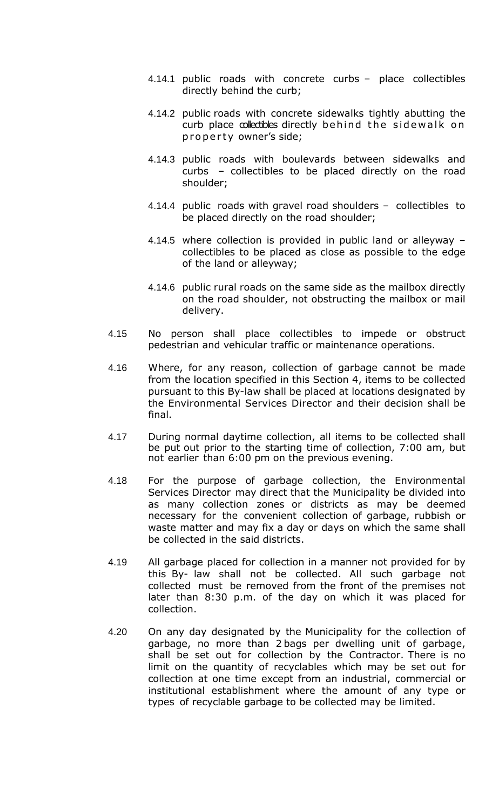- 4.14.1 public roads with concrete curbs place collectibles directly behind the curb;
- 4.14.2 public roads with concrete sidewalks tightly abutting the curb place collectibles directly behind the sidewalk on property owner's side;
- 4.14.3 public roads with boulevards between sidewalks and curbs – collectibles to be placed directly on the road shoulder;
- 4.14.4 public roads with gravel road shoulders collectibles to be placed directly on the road shoulder;
- 4.14.5 where collection is provided in public land or alleyway collectibles to be placed as close as possible to the edge of the land or alleyway;
- 4.14.6 public rural roads on the same side as the mailbox directly on the road shoulder, not obstructing the mailbox or mail delivery.
- 4.15 No person shall place collectibles to impede or obstruct pedestrian and vehicular traffic or maintenance operations.
- 4.16 Where, for any reason, collection of garbage cannot be made from the location specified in this Section 4, items to be collected pursuant to this By-law shall be placed at locations designated by the Environmental Services Director and their decision shall be final.
- 4.17 During normal daytime collection, all items to be collected shall be put out prior to the starting time of collection, 7:00 am, but not earlier than 6:00 pm on the previous evening.
- 4.18 For the purpose of garbage collection, the Environmental Services Director may direct that the Municipality be divided into as many collection zones or districts as may be deemed necessary for the convenient collection of garbage, rubbish or waste matter and may fix a day or days on which the same shall be collected in the said districts.
- 4.19 All garbage placed for collection in a manner not provided for by this By- law shall not be collected. All such garbage not collected must be removed from the front of the premises not later than 8:30 p.m. of the day on which it was placed for collection.
- 4.20 On any day designated by the Municipality for the collection of garbage, no more than 2 bags per dwelling unit of garbage, shall be set out for collection by the Contractor. There is no limit on the quantity of recyclables which may be set out for collection at one time except from an industrial, commercial or institutional establishment where the amount of any type or types of recyclable garbage to be collected may be limited.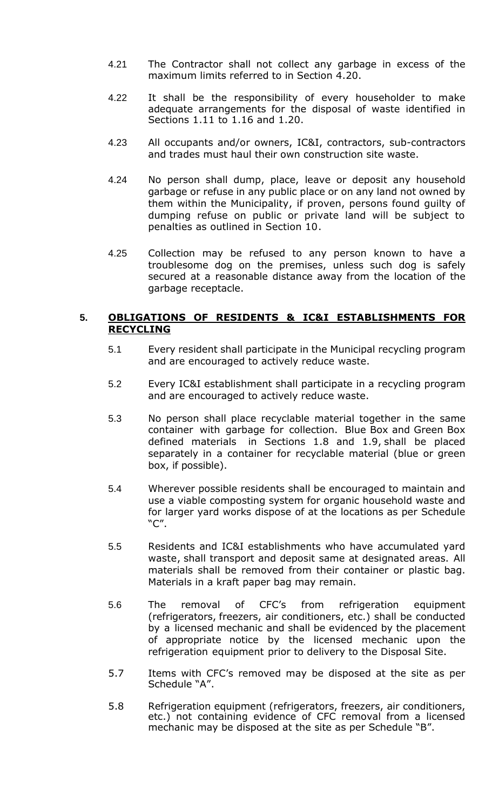- 4.21 The Contractor shall not collect any garbage in excess of the maximum limits referred to in Section 4.20.
- 4.22 It shall be the responsibility of every householder to make adequate arrangements for the disposal of waste identified in Sections 1.11 to 1.16 and 1.20.
- 4.23 All occupants and/or owners, IC&I, contractors, sub-contractors and trades must haul their own construction site waste.
- 4.24 No person shall dump, place, leave or deposit any household garbage or refuse in any public place or on any land not owned by them within the Municipality, if proven, persons found guilty of dumping refuse on public or private land will be subject to penalties as outlined in Section 10.
- 4.25 Collection may be refused to any person known to have a troublesome dog on the premises, unless such dog is safely secured at a reasonable distance away from the location of the garbage receptacle.

#### **5. OBLIGATIONS OF RESIDENTS & IC&I ESTABLISHMENTS FOR RECYCLING**

- 5.1 Every resident shall participate in the Municipal recycling program and are encouraged to actively reduce waste.
- 5.2 Every IC&I establishment shall participate in a recycling program and are encouraged to actively reduce waste.
- 5.3 No person shall place recyclable material together in the same container with garbage for collection. Blue Box and Green Box defined materials in Sections 1.8 and 1.9, shall be placed separately in a container for recyclable material (blue or green box, if possible).
- 5.4 Wherever possible residents shall be encouraged to maintain and use a viable composting system for organic household waste and for larger yard works dispose of at the locations as per Schedule "C".
- 5.5 Residents and IC&I establishments who have accumulated yard waste, shall transport and deposit same at designated areas. All materials shall be removed from their container or plastic bag. Materials in a kraft paper bag may remain.
- 5.6 The removal of CFC's from refrigeration equipment (refrigerators, freezers, air conditioners, etc.) shall be conducted by a licensed mechanic and shall be evidenced by the placement of appropriate notice by the licensed mechanic upon the refrigeration equipment prior to delivery to the Disposal Site.
- 5.7 Items with CFC's removed may be disposed at the site as per Schedule "A".
- 5.8 Refrigeration equipment (refrigerators, freezers, air conditioners, etc.) not containing evidence of CFC removal from a licensed mechanic may be disposed at the site as per Schedule "B".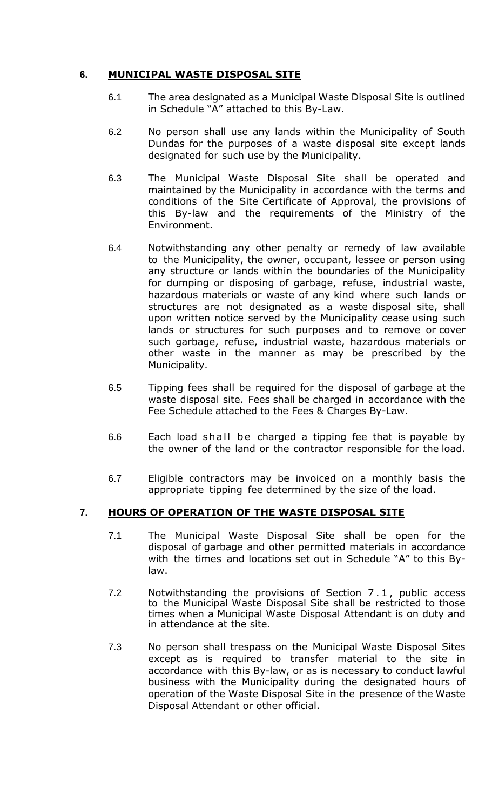# **6. MUNICIPAL WASTE DISPOSAL SITE**

- 6.1 The area designated as a Municipal Waste Disposal Site is outlined in Schedule "A" attached to this By-Law.
- 6.2 No person shall use any lands within the Municipality of South Dundas for the purposes of a waste disposal site except lands designated for such use by the Municipality.
- 6.3 The Municipal Waste Disposal Site shall be operated and maintained by the Municipality in accordance with the terms and conditions of the Site Certificate of Approval, the provisions of this By-law and the requirements of the Ministry of the Environment.
- 6.4 Notwithstanding any other penalty or remedy of law available to the Municipality, the owner, occupant, lessee or person using any structure or lands within the boundaries of the Municipality for dumping or disposing of garbage, refuse, industrial waste, hazardous materials or waste of any kind where such lands or structures are not designated as a waste disposal site, shall upon written notice served by the Municipality cease using such lands or structures for such purposes and to remove or cover such garbage, refuse, industrial waste, hazardous materials or other waste in the manner as may be prescribed by the Municipality.
- 6.5 Tipping fees shall be required for the disposal of garbage at the waste disposal site. Fees shall be charged in accordance with the Fee Schedule attached to the Fees & Charges By-Law.
- 6.6 Each load shall be charged a tipping fee that is payable by the owner of the land or the contractor responsible for the load.
- 6.7 Eligible contractors may be invoiced on a monthly basis the appropriate tipping fee determined by the size of the load.

# **7. HOURS OF OPERATION OF THE WASTE DISPOSAL SITE**

- 7.1 The Municipal Waste Disposal Site shall be open for the disposal of garbage and other permitted materials in accordance with the times and locations set out in Schedule "A" to this Bylaw.
- 7.2 Notwithstanding the provisions of Section 7 . 1 , public access to the Municipal Waste Disposal Site shall be restricted to those times when a Municipal Waste Disposal Attendant is on duty and in attendance at the site.
- 7.3 No person shall trespass on the Municipal Waste Disposal Sites except as is required to transfer material to the site in accordance with this By-law, or as is necessary to conduct lawful business with the Municipality during the designated hours of operation of the Waste Disposal Site in the presence of the Waste Disposal Attendant or other official.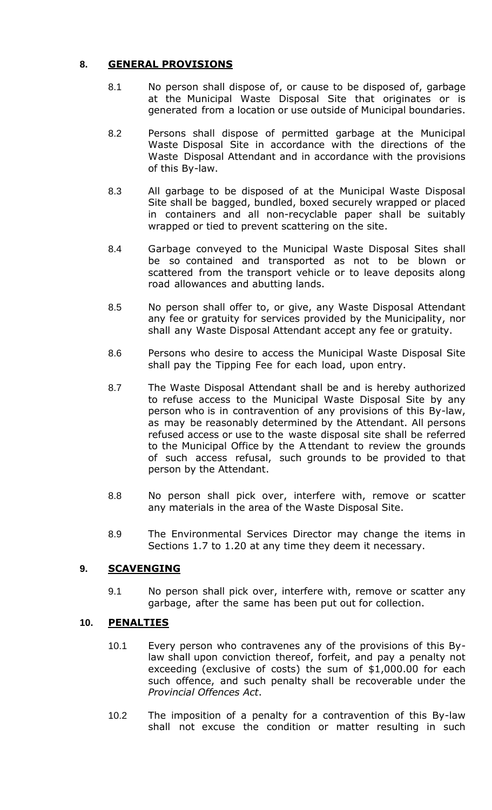# **8. GENERAL PROVISIONS**

- 8.1 No person shall dispose of, or cause to be disposed of, garbage at the Municipal Waste Disposal Site that originates or is generated from a location or use outside of Municipal boundaries.
- 8.2 Persons shall dispose of permitted garbage at the Municipal Waste Disposal Site in accordance with the directions of the Waste Disposal Attendant and in accordance with the provisions of this By-law.
- 8.3 All garbage to be disposed of at the Municipal Waste Disposal Site shall be bagged, bundled, boxed securely wrapped or placed in containers and all non-recyclable paper shall be suitably wrapped or tied to prevent scattering on the site.
- 8.4 Garbage conveyed to the Municipal Waste Disposal Sites shall be so contained and transported as not to be blown or scattered from the transport vehicle or to leave deposits along road allowances and abutting lands.
- 8.5 No person shall offer to, or give, any Waste Disposal Attendant any fee or gratuity for services provided by the Municipality, nor shall any Waste Disposal Attendant accept any fee or gratuity.
- 8.6 Persons who desire to access the Municipal Waste Disposal Site shall pay the Tipping Fee for each load, upon entry.
- 8.7 The Waste Disposal Attendant shall be and is hereby authorized to refuse access to the Municipal Waste Disposal Site by any person who is in contravention of any provisions of this By-law, as may be reasonably determined by the Attendant. All persons refused access or use to the waste disposal site shall be referred to the Municipal Office by the A ttendant to review the grounds of such access refusal, such grounds to be provided to that person by the Attendant.
- 8.8 No person shall pick over, interfere with, remove or scatter any materials in the area of the Waste Disposal Site.
- 8.9 The Environmental Services Director may change the items in Sections 1.7 to 1.20 at any time they deem it necessary.

# **9. SCAVENGING**

9.1 No person shall pick over, interfere with, remove or scatter any garbage, after the same has been put out for collection.

# **10. PENALTIES**

- 10.1 Every person who contravenes any of the provisions of this Bylaw shall upon conviction thereof, forfeit, and pay a penalty not exceeding (exclusive of costs) the sum of \$1,000.00 for each such offence, and such penalty shall be recoverable under the *Provincial Offences Act*.
- 10.2 The imposition of a penalty for a contravention of this By-law shall not excuse the condition or matter resulting in such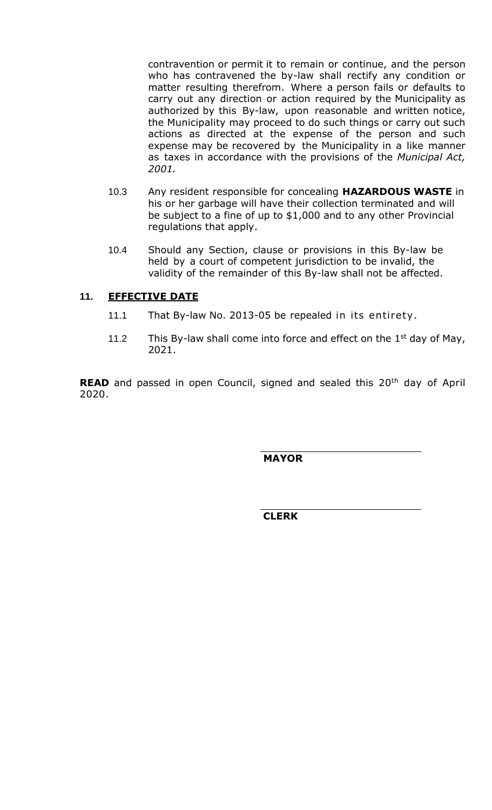contravention or permit it to remain or continue, and the person who has contravened the by-law shall rectify any condition or matter resulting therefrom. Where a person fails or defaults to carry out any direction or action required by the Municipality as authorized by this By-law, upon reasonable and written notice, the Municipality may proceed to do such things or carry out such actions as directed at the expense of the person and such expense may be recovered by the Municipality in a like manner as taxes in accordance with the provisions of the *Municipal Act, 2001.*

- 10.3 Any resident responsible for concealing **HAZARDOUS WASTE** in his or her garbage will have their collection terminated and will be subject to a fine of up to \$1,000 and to any other Provincial regulations that apply.
- 10.4 Should any Section, clause or provisions in this By-law be held by a court of competent jurisdiction to be invalid, the validity of the remainder of this By-law shall not be affected.

# **11. EFFECTIVE DATE**

- 11.1 That By-law No. 2013-05 be repealed in its entirety .
- 11.2 This By-law shall come into force and effect on the  $1<sup>st</sup>$  day of May, 2021.

**READ** and passed in open Council, signed and sealed this 20<sup>th</sup> day of April 2020.

 **MAYOR**

 **CLERK**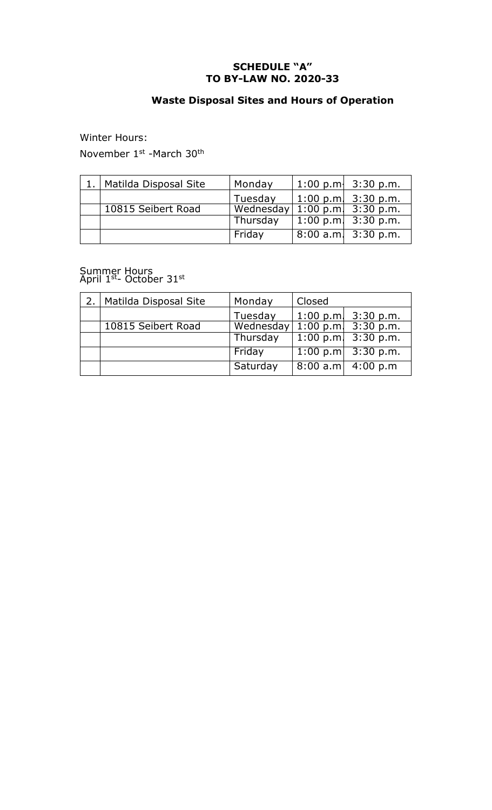#### **SCHEDULE "A" TO BY-LAW NO. 2020-33**

# **Waste Disposal Sites and Hours of Operation**

Winter Hours:

November 1st -March 30th

| Matilda Disposal Site | Monday    | 1:00 p.m. $3:30$ p.m. |
|-----------------------|-----------|-----------------------|
|                       | Tuesday   | 1:00 p.m. $3:30$ p.m. |
| 10815 Seibert Road    | Wednesday | 1:00 p.m. $3:30$ p.m. |
|                       | Thursday  | 1:00 p.m. $3:30$ p.m. |
|                       | Friday    | 8:00 a.m. 3:30 p.m.   |

#### Summer Hours April  $1<sup>st</sup>$ - October 31st

| Matilda Disposal Site | Monday    | Closed      |                         |
|-----------------------|-----------|-------------|-------------------------|
|                       | Tuesday   | $1:00$ p.m. | 3:30 p.m.               |
| 10815 Seibert Road    | Wednesday |             | 1:00 p.m. $3:30$ p.m.   |
|                       | Thursday  |             | $1:00$ p.m. $3:30$ p.m. |
|                       | Friday    |             | 1:00 p.m $3:30$ p.m.    |
|                       | Saturday  |             | $8:00$ a.m $4:00$ p.m   |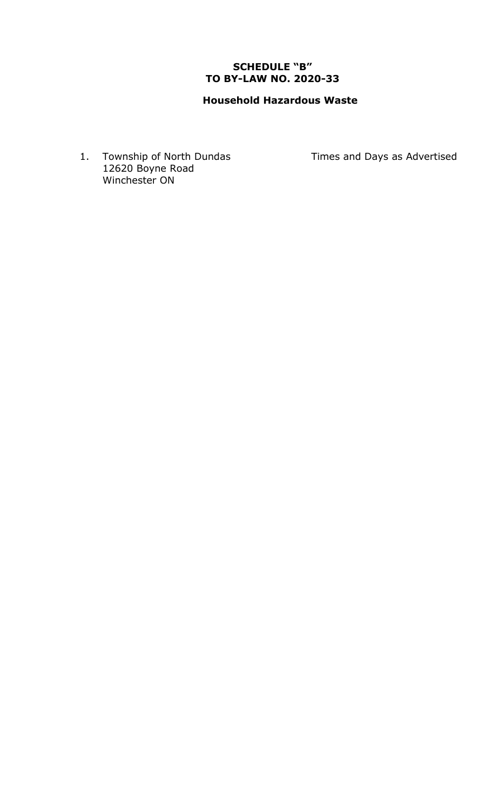# **SCHEDULE "B" TO BY-LAW NO. 2020-33**

# **Household Hazardous Waste**

1. Township of North Dundas Times and Days as Advertised 12620 Boyne Road Winchester ON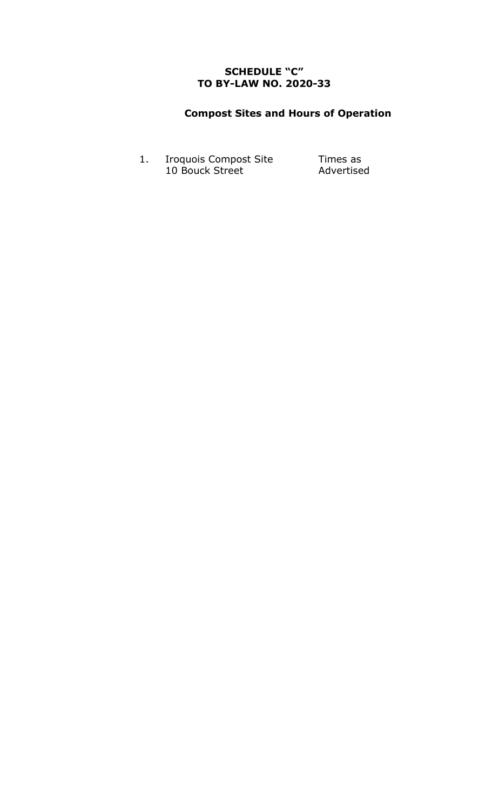# **SCHEDULE "C" TO BY-LAW NO. 2020-33**

# **Compost Sites and Hours of Operation**

1. Iroquois Compost Site 10 Bouck Street

Times as Advertised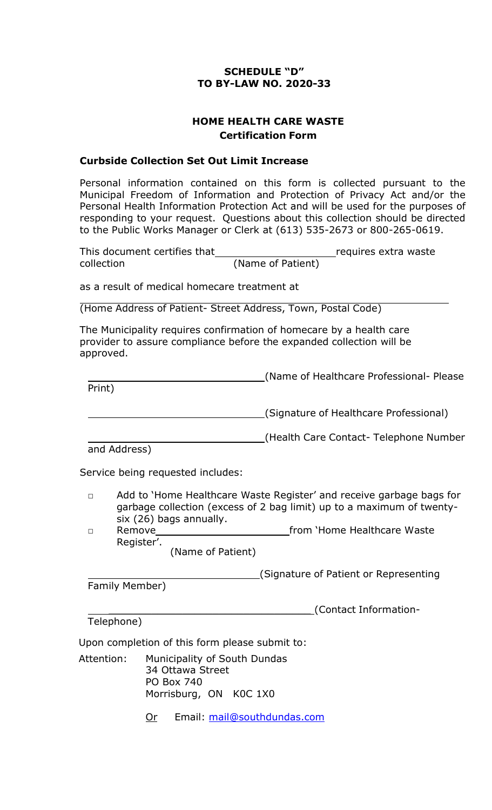# **SCHEDULE "D" TO BY-LAW NO. 2020-33**

# **HOME HEALTH CARE WASTE Certification Form**

### **Curbside Collection Set Out Limit Increase**

Personal information contained on this form is collected pursuant to the Municipal Freedom of Information and Protection of Privacy Act and/or the Personal Health Information Protection Act and will be used for the purposes of responding to your request. Questions about this collection should be directed to the Public Works Manager or Clerk at (613) 535-2673 or 800-265-0619.

This document certifies that **repart in the contract of the requires** extra waste collection (Name of Patient)

as a result of medical homecare treatment at

(Home Address of Patient- Street Address, Town, Postal Code)

The Municipality requires confirmation of homecare by a health care provider to assure compliance before the expanded collection will be approved.

(Name of Healthcare Professional- Please Print)

(Signature of Healthcare Professional)

(Health Care Contact- Telephone Number

and Address)

Service being requested includes:

- □ Add to 'Home Healthcare Waste Register' and receive garbage bags for garbage collection (excess of 2 bag limit) up to a maximum of twentysix (26) bags annually.
- □ Remove Remove **from 'Home Healthcare Waste** Register'.

(Name of Patient)

(Signature of Patient or Representing Family Member)

\_\_\_\_\_\_\_\_\_\_\_\_\_\_\_\_\_\_\_\_\_\_\_\_\_\_\_\_\_\_\_\_\_ (Contact Information-

Telephone)

Upon completion of this form please submit to:

Attention: Municipality of South Dundas 34 Ottawa Street PO Box 740 Morrisburg, ON K0C 1X0

Or Email: [mail@southdundas.com](mailto:mail@southdundas.com)